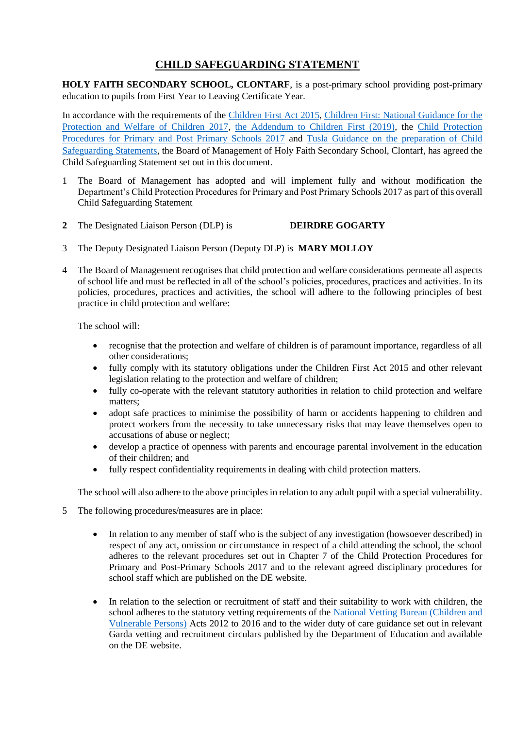# **CHILD SAFEGUARDING STATEMENT**

**HOLY FAITH SECONDARY SCHOOL, CLONTARF**, is a post-primary school providing post-primary education to pupils from First Year to Leaving Certificate Year.

In accordance with the requirements of the [Children First Act 2015,](http://www.irishstatutebook.ie/eli/2015/act/36/enacted/en/pdf) [Children First: National Guidance for the](https://assets.gov.ie/25844/b90aafa55804462f84d05f87f0ca2bf6.pdf)  [Protection and Welfare of Children 2017,](https://assets.gov.ie/25844/b90aafa55804462f84d05f87f0ca2bf6.pdf) [the Addendum to Children First \(2019\),](https://assets.gov.ie/25819/c9744b64dfd6447985eeffa5c0d71bbb.pdf) the [Child Protection](https://www.gov.ie/pdf/?file=https://assets.gov.ie/45063/2d4b5b3d781e4ec1ab4f3e5d198717d9.pdf#page=1)  [Procedures for Primary and Post Primary Schools 2017](https://www.gov.ie/pdf/?file=https://assets.gov.ie/45063/2d4b5b3d781e4ec1ab4f3e5d198717d9.pdf#page=1) and [Tusla Guidance on the preparation of Child](https://www.tusla.ie/uploads/content/4214-TUSLA_Guidance_on_Developing_a_CSS_LR.PDF)  [Safeguarding Statements,](https://www.tusla.ie/uploads/content/4214-TUSLA_Guidance_on_Developing_a_CSS_LR.PDF) the Board of Management of Holy Faith Secondary School, Clontarf, has agreed the Child Safeguarding Statement set out in this document.

- 1 The Board of Management has adopted and will implement fully and without modification the Department's Child Protection Procedures for Primary and Post Primary Schools 2017 as part of this overall Child Safeguarding Statement
- **2** The Designated Liaison Person (DLP) is **DEIRDRE GOGARTY**
- 3 The Deputy Designated Liaison Person (Deputy DLP) is **MARY MOLLOY**
- 4 The Board of Management recognises that child protection and welfare considerations permeate all aspects of school life and must be reflected in all of the school's policies, procedures, practices and activities. In its policies, procedures, practices and activities, the school will adhere to the following principles of best practice in child protection and welfare:

The school will:

- recognise that the protection and welfare of children is of paramount importance, regardless of all other considerations;
- fully comply with its statutory obligations under the Children First Act 2015 and other relevant legislation relating to the protection and welfare of children;
- fully co-operate with the relevant statutory authorities in relation to child protection and welfare matters;
- adopt safe practices to minimise the possibility of harm or accidents happening to children and protect workers from the necessity to take unnecessary risks that may leave themselves open to accusations of abuse or neglect;
- develop a practice of openness with parents and encourage parental involvement in the education of their children; and
- fully respect confidentiality requirements in dealing with child protection matters.

The school will also adhere to the above principles in relation to any adult pupil with a special vulnerability.

- 5 The following procedures/measures are in place:
	- In relation to any member of staff who is the subject of any investigation (howsoever described) in respect of any act, omission or circumstance in respect of a child attending the school, the school adheres to the relevant procedures set out in Chapter 7 of the Child Protection Procedures for Primary and Post-Primary Schools 2017 and to the relevant agreed disciplinary procedures for school staff which are published on the DE website.
	- In relation to the selection or recruitment of staff and their suitability to work with children, the school adheres to the statutory vetting requirements of the [National Vetting Bureau \(Children and](https://revisedacts.lawreform.ie/eli/2012/act/47/revised/en/pdf)  [Vulnerable Persons\)](https://revisedacts.lawreform.ie/eli/2012/act/47/revised/en/pdf) Acts 2012 to 2016 and to the wider duty of care guidance set out in relevant Garda vetting and recruitment circulars published by the Department of Education and available on the DE website.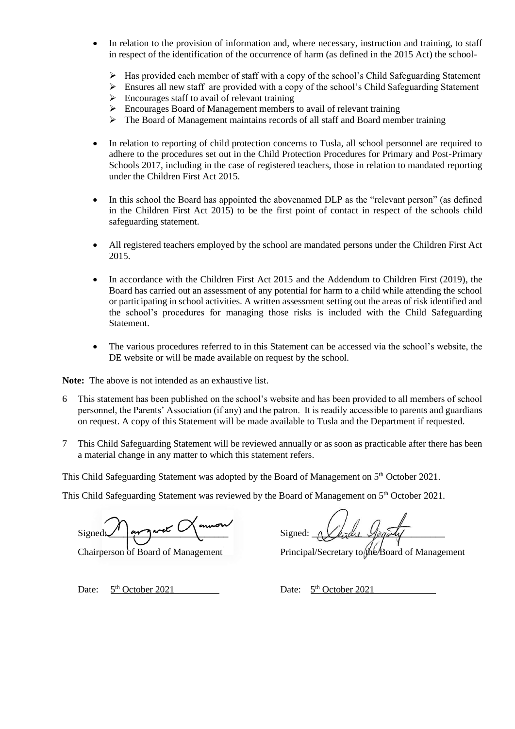- In relation to the provision of information and, where necessary, instruction and training, to staff in respect of the identification of the occurrence of harm (as defined in the 2015 Act) the school-
	- ➢ Has provided each member of staff with a copy of the school's Child Safeguarding Statement
	- ➢ Ensures all new staff are provided with a copy of the school's Child Safeguarding Statement
	- ➢ Encourages staff to avail of relevant training
	- ➢ Encourages Board of Management members to avail of relevant training
	- $\triangleright$  The Board of Management maintains records of all staff and Board member training
- In relation to reporting of child protection concerns to Tusla, all school personnel are required to adhere to the procedures set out in the Child Protection Procedures for Primary and Post-Primary Schools 2017, including in the case of registered teachers, those in relation to mandated reporting under the Children First Act 2015.
- In this school the Board has appointed the abovenamed DLP as the "relevant person" (as defined in the Children First Act 2015) to be the first point of contact in respect of the schools child safeguarding statement.
- All registered teachers employed by the school are mandated persons under the Children First Act 2015.
- In accordance with the Children First Act 2015 and the Addendum to Children First (2019), the Board has carried out an assessment of any potential for harm to a child while attending the school or participating in school activities. A written assessment setting out the areas of risk identified and the school's procedures for managing those risks is included with the Child Safeguarding Statement.
- The various procedures referred to in this Statement can be accessed via the school's website, the DE website or will be made available on request by the school.

**Note:** The above is not intended as an exhaustive list.

- 6 This statement has been published on the school's website and has been provided to all members of school personnel, the Parents' Association (if any) and the patron. It is readily accessible to parents and guardians on request. A copy of this Statement will be made available to Tusla and the Department if requested.
- 7 This Child Safeguarding Statement will be reviewed annually or as soon as practicable after there has been a material change in any matter to which this statement refers.

This Child Safeguarding Statement was adopted by the Board of Management on 5<sup>th</sup> October 2021.

This Child Safeguarding Statement was reviewed by the Board of Management on 5<sup>th</sup> October 2021.

Signed: 1 au garet Monnon Signed:

Chairperson of Board of Management Principal/Secretary to the Board of Management

Date:  $5<sup>th</sup> October 2021$  Date:  $5<sup>th</sup> October 2021$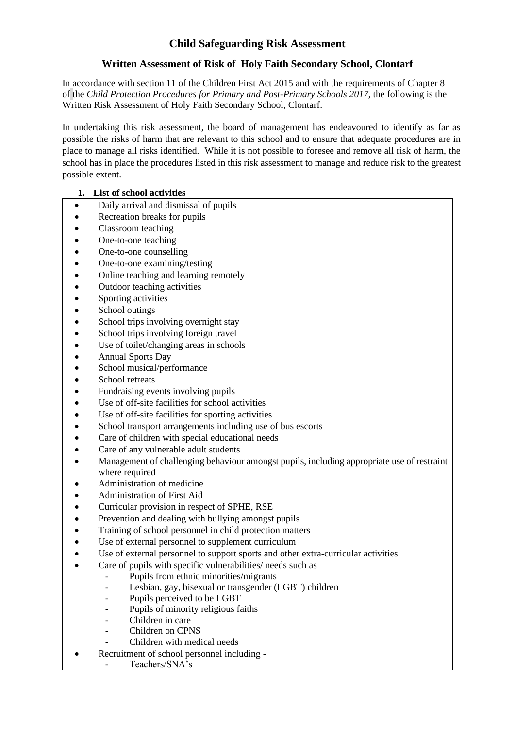## **Child Safeguarding Risk Assessment**

### **Written Assessment of Risk of Holy Faith Secondary School, Clontarf**

In accordance with section 11 of the Children First Act 2015 and with the requirements of Chapter 8 of the *Child Protection Procedures for Primary and Post-Primary Schools 2017*, the following is the Written Risk Assessment of Holy Faith Secondary School, Clontarf.

In undertaking this risk assessment, the board of management has endeavoured to identify as far as possible the risks of harm that are relevant to this school and to ensure that adequate procedures are in place to manage all risks identified. While it is not possible to foresee and remove all risk of harm, the school has in place the procedures listed in this risk assessment to manage and reduce risk to the greatest possible extent.

#### **1. List of school activities**

- Daily arrival and dismissal of pupils
- Recreation breaks for pupils
- Classroom teaching
- One-to-one teaching
- One-to-one counselling
- One-to-one examining/testing
- Online teaching and learning remotely
- Outdoor teaching activities
- Sporting activities
- School outings
- School trips involving overnight stay
- School trips involving foreign travel
- Use of toilet/changing areas in schools
- Annual Sports Day
- School musical/performance
- School retreats
- Fundraising events involving pupils
- Use of off-site facilities for school activities
- Use of off-site facilities for sporting activities
- School transport arrangements including use of bus escorts
- Care of children with special educational needs
- Care of any vulnerable adult students
- Management of challenging behaviour amongst pupils, including appropriate use of restraint where required
- Administration of medicine
- Administration of First Aid
- Curricular provision in respect of SPHE, RSE
- Prevention and dealing with bullying amongst pupils
- Training of school personnel in child protection matters
- Use of external personnel to supplement curriculum
- Use of external personnel to support sports and other extra-curricular activities
- Care of pupils with specific vulnerabilities/ needs such as
	- Pupils from ethnic minorities/migrants
	- Lesbian, gay, bisexual or transgender (LGBT) children
	- Pupils perceived to be LGBT
	- Pupils of minority religious faiths
	- Children in care
	- Children on CPNS
	- Children with medical needs
- Recruitment of school personnel including -
	- Teachers/SNA's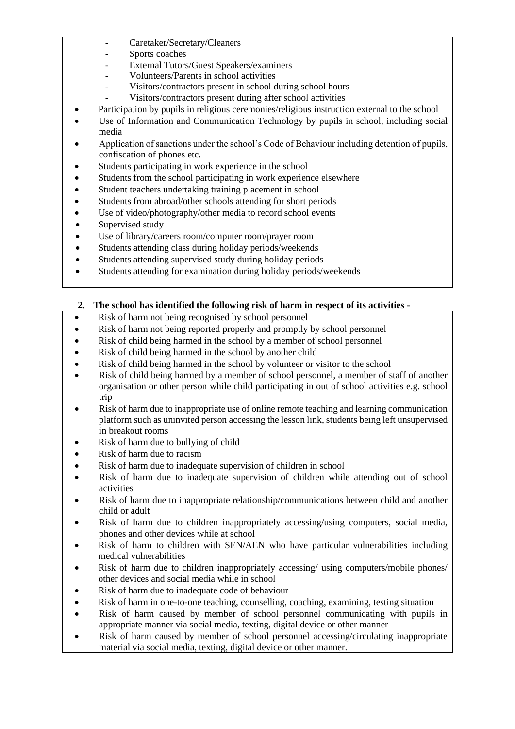- Caretaker/Secretary/Cleaners
- Sports coaches
- External Tutors/Guest Speakers/examiners
- Volunteers/Parents in school activities
- Visitors/contractors present in school during school hours
- Visitors/contractors present during after school activities
- Participation by pupils in religious ceremonies/religious instruction external to the school
- Use of Information and Communication Technology by pupils in school, including social media
- Application of sanctions under the school's Code of Behaviour including detention of pupils, confiscation of phones etc.
- Students participating in work experience in the school
- Students from the school participating in work experience elsewhere
- Student teachers undertaking training placement in school
- Students from abroad/other schools attending for short periods
- Use of video/photography/other media to record school events
- Supervised study
- Use of library/careers room/computer room/prayer room
- Students attending class during holiday periods/weekends
- Students attending supervised study during holiday periods
- Students attending for examination during holiday periods/weekends

#### **2. The school has identified the following risk of harm in respect of its activities -**

- Risk of harm not being recognised by school personnel
- Risk of harm not being reported properly and promptly by school personnel
- Risk of child being harmed in the school by a member of school personnel
- Risk of child being harmed in the school by another child
- Risk of child being harmed in the school by volunteer or visitor to the school
- Risk of child being harmed by a member of school personnel, a member of staff of another organisation or other person while child participating in out of school activities e.g. school trip
- Risk of harm due to inappropriate use of online remote teaching and learning communication platform such as uninvited person accessing the lesson link, students being left unsupervised in breakout rooms
- Risk of harm due to bullying of child
- Risk of harm due to racism
- Risk of harm due to inadequate supervision of children in school
- Risk of harm due to inadequate supervision of children while attending out of school activities
- Risk of harm due to inappropriate relationship/communications between child and another child or adult
- Risk of harm due to children inappropriately accessing/using computers, social media, phones and other devices while at school
- Risk of harm to children with SEN/AEN who have particular vulnerabilities including medical vulnerabilities
- Risk of harm due to children inappropriately accessing/ using computers/mobile phones/ other devices and social media while in school
- Risk of harm due to inadequate code of behaviour
- Risk of harm in one-to-one teaching, counselling, coaching, examining, testing situation
- Risk of harm caused by member of school personnel communicating with pupils in appropriate manner via social media, texting, digital device or other manner
- Risk of harm caused by member of school personnel accessing/circulating inappropriate material via social media, texting, digital device or other manner.